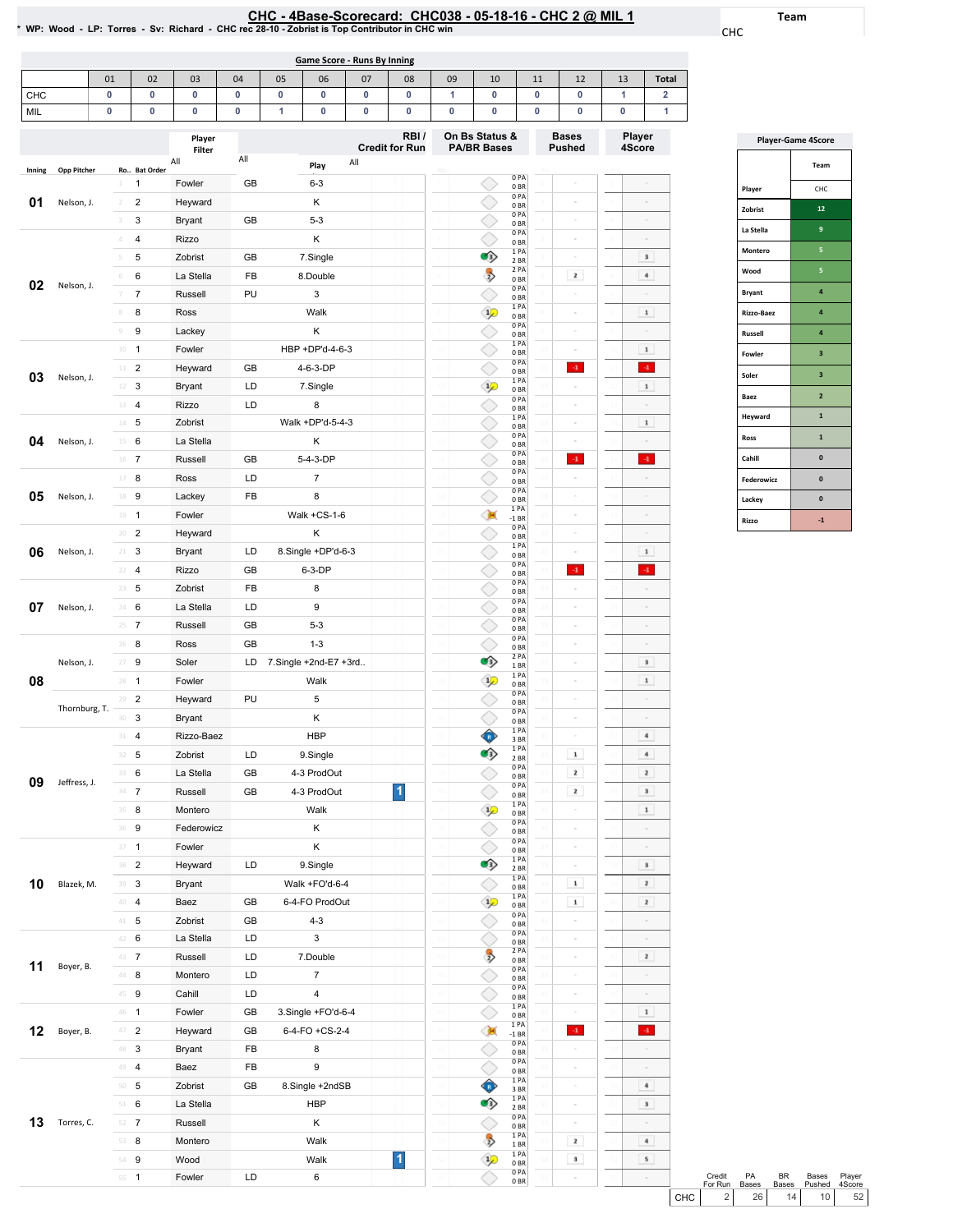Team

CHC

|        |                    |                  |                | * WP: Wood - LP: Torres - Sv: Richard - CHC rec 28-10 - Zobrist is Top Contributor in CHC win |     |                    | CHC - 4Base-Scorecard: CHC038 - 05-18-16 - CHC 2 @ MIL 1 |                                                                       |    |    |               |                                    |        |                |                         |               |
|--------|--------------------|------------------|----------------|-----------------------------------------------------------------------------------------------|-----|--------------------|----------------------------------------------------------|-----------------------------------------------------------------------|----|----|---------------|------------------------------------|--------|----------------|-------------------------|---------------|
|        |                    |                  |                |                                                                                               |     |                    | <b>Game Score - Runs By Inning</b>                       |                                                                       |    |    |               |                                    |        |                |                         |               |
|        |                    | 01               | 02             | 03                                                                                            | 04  | 05                 | 06                                                       | 07                                                                    | 08 | 09 | 10            |                                    | 11     | 12             | 13                      | <b>Total</b>  |
| CHC    |                    | 0                | 0              | 0                                                                                             | 0   | 0                  | 0                                                        | 0                                                                     | 0  | 1  | 0             |                                    | 0      | 0              | 1                       | 2             |
| MIL    |                    | 0                | 0              | 0                                                                                             | 0   | 1<br>0<br>0        |                                                          |                                                                       | 0  | 0  | 0<br>0<br>0   |                                    | 0<br>1 |                |                         |               |
|        |                    | Player<br>Filter |                |                                                                                               |     |                    |                                                          | RBI/<br>On Bs Status &<br><b>Credit for Run</b><br><b>PA/BR Bases</b> |    |    |               | <b>Bases</b><br>Pushed             |        |                | <b>Player</b><br>4Score |               |
| Inning | <b>Opp Pitcher</b> |                  | Ro Bat Order   | All                                                                                           | All |                    | Play                                                     | All                                                                   |    |    |               |                                    |        |                |                         |               |
|        |                    | 1                | $\mathbf{1}$   | Fowler                                                                                        | GB  |                    | $6 - 3$                                                  |                                                                       |    |    |               | 0PA<br>0 <sub>BR</sub>             |        | ò,             |                         |               |
| 01     | Nelson, J.         | $\overline{2}$   | 2              | Heyward                                                                                       |     | Κ                  |                                                          |                                                                       |    |    |               | 0PA<br>0 <sub>BR</sub>             |        | $\bar{c}$      |                         |               |
|        |                    | 3                | 3              | <b>Bryant</b>                                                                                 | GB  |                    | $5 - 3$                                                  |                                                                       |    |    |               | 0 PA<br>0 <sub>BR</sub>            |        | $\bar{c}$      |                         |               |
|        |                    | 4                | 4              | Rizzo                                                                                         |     | Κ                  |                                                          |                                                                       |    |    |               | 0PA<br>0 <sub>BR</sub>             |        | $\sim$         |                         |               |
|        |                    | 5                | 5              | Zobrist                                                                                       | GB  |                    | 7.Single                                                 |                                                                       |    |    | O)            | 1 PA<br>2 BR                       |        | $\sim$         |                         | $\bf{3}$      |
|        |                    | 6                | 6              | La Stella                                                                                     | FB  |                    | 8.Double                                                 |                                                                       |    |    | $\rightarrow$ | 2 PA<br>0 <sub>BR</sub>            |        | $\mathbf{z}$   |                         | $\bf{4}$      |
| 02     | Nelson, J.         | 7                | $\overline{7}$ | Russell                                                                                       | PU  |                    | 3                                                        |                                                                       |    |    |               | 0PA<br>0 <sub>BR</sub>             |        | $\sim$         |                         |               |
|        |                    | $\,$ 8           | 8              | Ross                                                                                          |     |                    | Walk                                                     |                                                                       |    |    | $\mathcal{P}$ | 1PA<br>0BR                         |        | $\sim$         |                         | $\mathbf 1$   |
|        |                    | $\circledcirc$   | 9              | Lackey                                                                                        |     |                    | Κ                                                        |                                                                       |    |    |               | 0PA<br>0BR                         |        | $\sim$         |                         |               |
|        |                    | $10\,$           | $\overline{1}$ | Fowler                                                                                        |     |                    | HBP +DP'd-4-6-3                                          |                                                                       |    |    |               | 1 PA<br>0BR                        |        | $\sigma$       |                         | $\mathbf 1$   |
|        |                    | $11$             | $\overline{2}$ | Heyward                                                                                       | GB  |                    | 4-6-3-DP                                                 |                                                                       |    |    |               | 0 PA<br>0 <sub>BR</sub>            |        | $-1$ .         |                         | $4^{\circ}$   |
| 03     | Nelson, J.         | 12               | 3              | <b>Bryant</b>                                                                                 | LD  |                    | 7.Single                                                 |                                                                       |    |    | $\frac{1}{2}$ | 1 PA<br>0 <sub>BR</sub>            |        |                |                         | $\mathbf 1$   |
|        |                    | 13               | $\overline{4}$ | Rizzo                                                                                         | LD  |                    | 8                                                        |                                                                       |    |    |               | 0 PA<br>0 <sub>BR</sub>            |        | è              |                         |               |
|        |                    |                  | $14$ 5         | Zobrist                                                                                       |     | Walk +DP'd-5-4-3   |                                                          |                                                                       |    |    |               | 1 PA<br>0 <sub>BR</sub>            |        | $\alpha$       |                         | $\mathbf 1$   |
| 04     | Nelson, J.         | 6<br>15          |                | La Stella                                                                                     |     | Κ                  |                                                          |                                                                       |    |    |               | 0 PA<br>0BR                        |        | $\sim$         |                         |               |
|        |                    | $16$ 7           |                | Russell                                                                                       | GB  |                    | 5-4-3-DP                                                 |                                                                       |    |    |               | 0PA<br>0BR                         |        | $\mathbf{-1}$  |                         | $\mathcal{A}$ |
|        |                    | 17               | 8              | Ross                                                                                          | LD  |                    | $\overline{7}$                                           |                                                                       |    |    |               | 0PA<br>0BR                         |        | ò,             |                         |               |
| 05     | Nelson, J.         | 18               | 9              | Lackey                                                                                        | FB  | 8                  |                                                          |                                                                       |    |    |               | 0 <sub>PA</sub><br>0 <sub>BR</sub> |        | ò,             |                         |               |
|        |                    | $19 - 1$         |                | Fowler                                                                                        |     |                    | Walk +CS-1-6                                             |                                                                       |    |    |               | 1 PA<br>$-1$ BR                    |        | $\sim$         |                         |               |
|        |                    | 20               | $\overline{2}$ | Heyward                                                                                       |     |                    | Κ                                                        |                                                                       |    |    |               | 0PA<br>0 <sub>BR</sub>             |        | $\sim$         |                         | $\sim$        |
| 06     | Nelson, J.         | $21 -$           | 3              | <b>Bryant</b>                                                                                 | LD  | 8.Single +DP'd-6-3 |                                                          |                                                                       |    |    |               | 1PA<br>0 <sub>BR</sub>             |        | $\sim$         |                         | $1\,$         |
|        |                    | 22               | 4              | Rizzo                                                                                         | GB  |                    | 6-3-DP                                                   |                                                                       |    |    |               | 0PA<br>0BR                         |        | $\mathbf{-1}$  |                         | $\cdot 1$     |
|        |                    | 23               | 5              | Zobrist                                                                                       | FB  |                    | 8                                                        |                                                                       |    |    |               | 0PA<br>0 <sub>BR</sub>             |        | $\bar{c}$      |                         |               |
| 07     | Nelson, J.         | 24               | 6              | La Stella                                                                                     | LD  |                    | 9                                                        |                                                                       |    |    |               | 0PA<br>0 <sub>BR</sub>             |        | $\bar{c}$      |                         |               |
|        |                    | $25 - 7$         |                | Russell                                                                                       | GB  |                    | $5 - 3$                                                  |                                                                       |    |    |               | 0PA<br>0 <sub>BR</sub>             |        | $\sim$         |                         | $\equiv$      |
|        |                    | $26$ 8           |                | Ross                                                                                          | GB  |                    | $1 - 3$                                                  |                                                                       |    |    |               | 0PA<br>0BR                         |        | $\sim$         |                         |               |
|        | Nelson, J.         | 27               | 9              | Soler                                                                                         | LD  |                    | 7.Single +2nd-E7 +3rd                                    |                                                                       |    |    | O3)           | 2 PA<br>1BR                        |        | $\sim$         |                         | $\bf{3}$      |
| 08     |                    | $28 - 1$         |                | Fowler                                                                                        |     |                    | Walk                                                     |                                                                       |    |    | $\frac{1}{2}$ | 1PA<br>$0\;\mathrm{BR}$            |        |                |                         | $\mathbf 1$   |
|        |                    |                  | $29 - 2$       | Heyward                                                                                       | PU  |                    | 5                                                        |                                                                       |    |    |               | 0 PA<br>0B                         |        |                |                         |               |
|        | Thornburg, T.      |                  | $30-3$         | Bryant                                                                                        |     |                    | Κ                                                        |                                                                       |    |    |               | $0$ PA<br>0B                       | 30     | $\overline{a}$ |                         |               |
|        |                    |                  | $31 - 4$       | Rizzo-Baez                                                                                    |     |                    | <b>HBP</b>                                               |                                                                       |    |    | $\mathbf{R}$  | 1 PA<br>3 BR                       |        |                |                         | $\sqrt{4}$    |
|        |                    |                  | $32 - 5$       | Zobrist                                                                                       | LD  |                    | 9.Single                                                 |                                                                       |    |    | ഴ             | 1PA<br>2 BR                        |        | $\mathbf 1$    |                         | $\bf{4}$      |

1

 $\frac{1}{\sqrt{2}}$ 

 $\mathbf{1}$ 

 $\Diamond$ 

Ō

 $\bullet$ 

◇

 $\mathbf{1}_{\rho}$ 

◇

ł  $\frac{1}{2}$ 

 $\Diamond$ 

 $\frac{1}{\sqrt{2}}$ 

一

 $\frac{1}{\sqrt{2}}$ 

 $\hat{\bullet}$ 

 $\rightarrow$ 

◇  $\overline{\bullet}$ 

 $\hat{P}$ 

◇

0BR 1PA 0BR 0PA

 $\,$  2  $\,$ 

 $\overline{\phantom{a}}$ 

 $\sigma$ 

 $\blacksquare$ 

 $\,$  1  $\,$ 

 $\overline{\phantom{a}}$ 

 $\sigma$ 

 $\overline{\phantom{a}}$ 

 $\langle \cdot {\bf 1} \rangle$ 

 $\sigma$ 

 $\mathbf{z}$ 

 $\,$   $\,$   $\,$ 

 $\,$  3  $\,$ 

 $\mathbf 1$ 

 $\sim$ 

 $\,$   $\,$   $\,$ 

 $\mathbf{Z}$ 

 $\mathbf{z}$ 

 $\mathbf{z}$ 

 $\,$  1  $\,$ 

 $\langle 4 \rangle$ 

 $\overline{a}$ 

 $\,$  4  $\,$ 

 $\,$   $\,$   $\,$ 

 $\mid$  4  $\mid$ 

 $\sqrt{5}$ 

0 BR<br>0 PA<br>0 BR<br>1 PA<br>2 BR

1PA 0BR 1PA 0BR 0PA 0BR 0PA

0 BR<br>2 PA<br>0 BR<br>0 PA<br>0 BR 0PA

0BR 1PA 0BR 1PA -1BR 0PA 0BR 0PA

0BR<br>1PA<br>1PA<br>1PA<br>1PA<br>1PA<br>1PA<br>1PA<br>0BR<br>0PA

0BR

1

**10** Blazek, M.  $\frac{39}{40}$ 

**11** Boyer, B.

**12** Boyer, B.

13 Torres, C.

 $31 \t 4$  Rizzo-Baez HBP<br> $32 \t 5$  Zobrist LD 9.Singl 5 Zobrist LD 9.Single 33 6 LaStella GB 4-3ProdOut 34 7 Russell GB 4-3ProdOut  $\frac{35}{36}$  8 Montero Walk<br> $\frac{36}{36}$  9 Federowicz K 36 9 Federowicz K

 $37 \t1$  Fowler K 38 2 Heyward LD 9.Single 39 3 Bryant Walk+FO'd-6-4 4 Baez GB 6-4-FO ProdOut 5 Zobrist GB 4-3

42 6 LaStella LD 3 43 7 Russell LD 7.Double 44 8 Montero LD 7 45 9 Cahill LD 4

49 **4 Baez FB 9**<br>50 **5 Zobrist GB 8.Single** +

51 6 LaStella HBP 52 7 Russell K

 $54 \t\t\t\t 84 \t\t\t 854 \t\t\t 9$  Wood Walk 55 1 Fowler LD 6

46 1 Fowler GB 3.Single+FO'd-6-4 47 2 Heyward GB 6-4-FO+CS-2-4 48 3 Bryant FB 8

Zobrist GB 8.Single +2ndSB

Montero Walk

| <b>Player-Game 4Score</b> |                |  |  |  |  |  |  |  |  |
|---------------------------|----------------|--|--|--|--|--|--|--|--|
|                           | Team           |  |  |  |  |  |  |  |  |
| Player                    | CHC            |  |  |  |  |  |  |  |  |
| Zobrist                   | 12             |  |  |  |  |  |  |  |  |
| La Stella                 | 9              |  |  |  |  |  |  |  |  |
| Montero                   | 5              |  |  |  |  |  |  |  |  |
| Wood                      | 5              |  |  |  |  |  |  |  |  |
| <b>Bryant</b>             | 4              |  |  |  |  |  |  |  |  |
| Rizzo-Baez                | 4              |  |  |  |  |  |  |  |  |
| <b>Russell</b>            | 4              |  |  |  |  |  |  |  |  |
| Fowler                    | 3              |  |  |  |  |  |  |  |  |
| Soler                     | 3              |  |  |  |  |  |  |  |  |
| Baez                      | $\overline{2}$ |  |  |  |  |  |  |  |  |
| Heyward                   | 1              |  |  |  |  |  |  |  |  |
| Ross                      | $\mathbf{1}$   |  |  |  |  |  |  |  |  |
| Cahill                    | O              |  |  |  |  |  |  |  |  |
| <b>Federowicz</b>         | $\Omega$       |  |  |  |  |  |  |  |  |
| Lackey                    | $\mathbf{0}$   |  |  |  |  |  |  |  |  |
| Rizzo                     | $-1$           |  |  |  |  |  |  |  |  |

|       | Credit<br>For Run | <b>PA</b><br><b>Bases</b> | RR              | Bases<br>Bases Pushed 4Score | Player          |  |
|-------|-------------------|---------------------------|-----------------|------------------------------|-----------------|--|
| CHC I | 2 <sub>1</sub>    | 26                        | 14 <sub>1</sub> | 10 <sup>1</sup>              | 52 <sub>1</sub> |  |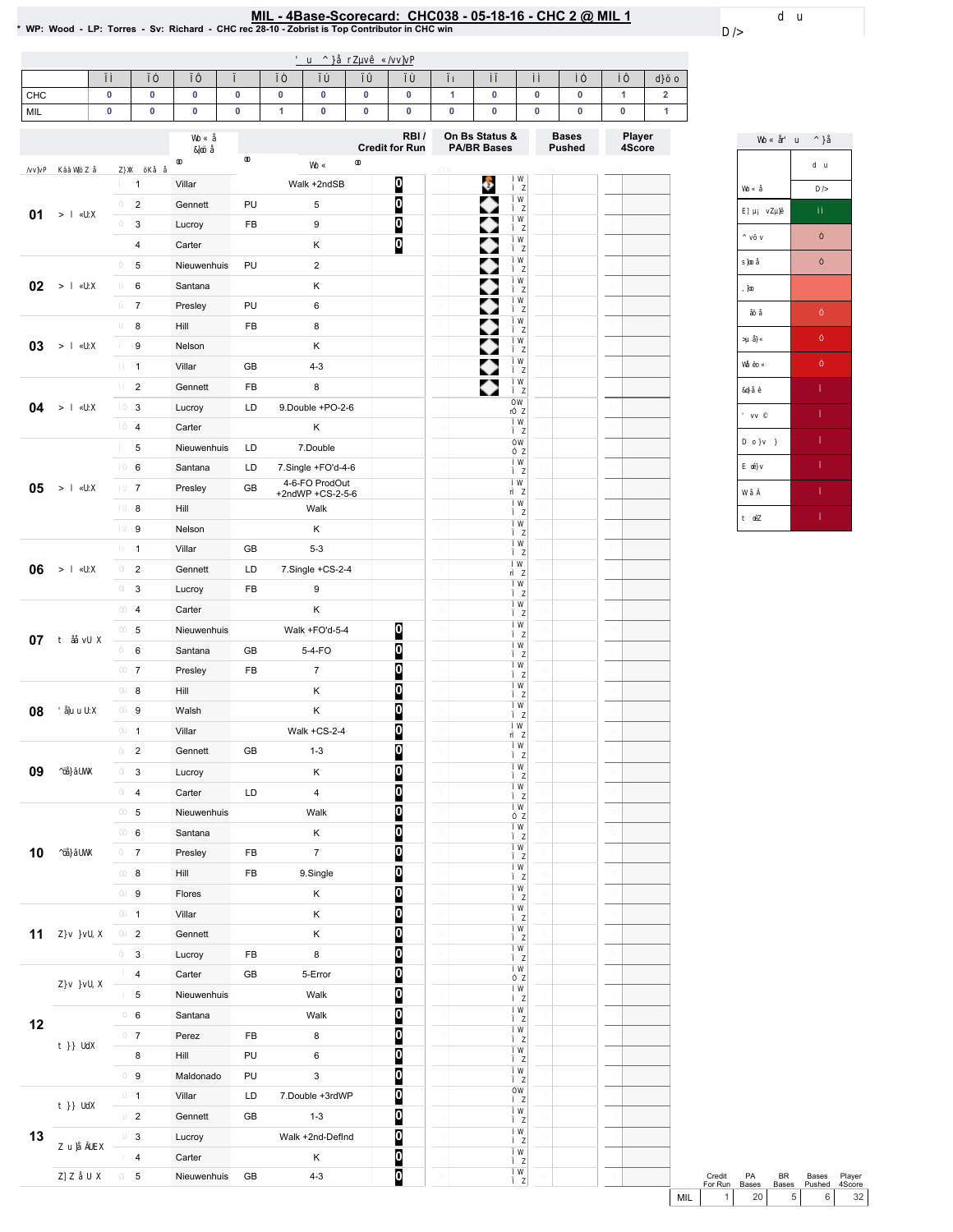# MIL - 4Base-Scorecard: CHC038 - 05-18-16 - CHC 2 @ MIL 1<br>\* WP: Wood - LP: Torres - Sv: Richard - CHC rec 28-10 - Zobrist is Top Contributor in CHC win

| CHC  | $\pmb{0}$ | $\pmb{0}$                               | $\pmb{0}$             | 0        | 0            | 0                                    | $\pmb{0}$ | $\pmb{0}$                     | 1 | $\pmb{0}$                            | 0 | 0                             | $\mathbf{1}$     | $\mathbf 2$ |
|------|-----------|-----------------------------------------|-----------------------|----------|--------------|--------------------------------------|-----------|-------------------------------|---|--------------------------------------|---|-------------------------------|------------------|-------------|
| MIL  | $\pmb{0}$ | $\pmb{0}$                               | $\pmb{0}$             | 0        | $\mathbf{1}$ | 0                                    | $\pmb{0}$ | $\pmb{0}$                     | 0 | 0                                    | 0 | 0                             | $\pmb{0}$        | 1           |
|      |           |                                         |                       |          |              |                                      |           | RBI/<br><b>Credit for Run</b> |   | On Bs Status &<br><b>PA/BR Bases</b> |   | <b>Bases</b><br><b>Pushed</b> | Player<br>4Score |             |
|      |           |                                         |                       |          |              |                                      |           |                               |   |                                      |   |                               |                  |             |
|      |           | $\mathbf{1}$                            | Villar                |          |              | Walk +2ndSB                          |           | $\bf{0}$                      |   | Ģ                                    |   |                               |                  |             |
| 01   |           | $\sqrt{2}$                              | Gennett               | PU       |              | 5                                    |           | 0                             |   |                                      |   |                               |                  |             |
|      |           | $\mathsf 3$                             | Lucroy                | FB       |              | 9                                    |           | O                             |   |                                      |   |                               |                  |             |
|      |           | $\sqrt{4}$                              | Carter                |          |              | Κ                                    |           | Ø                             |   |                                      |   |                               |                  |             |
|      |           | $\mathbf 5$                             | Nieuwenhuis           | PU       |              | $\overline{c}$                       |           |                               |   |                                      |   |                               |                  |             |
| 02   |           | $\,6\,$                                 | Santana               |          |              | Κ                                    |           |                               |   |                                      |   |                               |                  |             |
|      |           | $\overline{7}$                          | Presley               | PU<br>FB |              | 6                                    |           |                               |   |                                      |   |                               |                  |             |
| 03   |           | 8                                       | Hill                  |          |              | 8<br>Κ                               |           |                               |   |                                      |   |                               |                  |             |
|      |           | $\boldsymbol{9}$                        | Nelson                |          |              |                                      |           |                               |   | ▶                                    |   |                               |                  |             |
|      |           | $\mathbf{1}$                            | Villar                | GB       |              | $4 - 3$                              |           |                               |   | ٠                                    |   |                               |                  |             |
|      |           | $\sqrt{2}$                              | Gennett               | FB       |              | 8                                    |           |                               |   | ◆                                    |   |                               |                  |             |
| 04   |           | $\mathsf 3$                             | Lucroy                | LD       |              | 9.Double +PO-2-6                     |           |                               |   |                                      |   |                               |                  |             |
|      |           | $\sqrt{4}$<br>$\,$ 5 $\,$               | Carter<br>Nieuwenhuis | LD       |              | Κ<br>7.Double                        |           |                               |   |                                      |   |                               |                  |             |
| 05   |           |                                         |                       |          |              |                                      |           |                               |   |                                      |   |                               |                  |             |
|      |           | $\,6\,$<br>$\boldsymbol{7}$             | Santana<br>Presley    | LD<br>GB |              | 7.Single +FO'd-4-6<br>4-6-FO ProdOut |           |                               |   |                                      |   |                               |                  |             |
|      |           |                                         |                       |          |              | +2ndWP +CS-2-5-6                     |           |                               |   |                                      |   |                               |                  |             |
|      |           | $\bf8$                                  | Hill                  |          |              | Walk                                 |           |                               |   |                                      |   |                               |                  |             |
|      |           | $\boldsymbol{9}$                        | Nelson                |          |              | Κ                                    |           |                               |   |                                      |   |                               |                  |             |
|      |           | $\mathbf{1}$                            | Villar                | GB       |              | $5 - 3$                              |           |                               |   |                                      |   |                               |                  |             |
| 06   |           | $\sqrt{2}$                              | Gennett               | LD       |              | 7.Single +CS-2-4                     |           |                               |   |                                      |   |                               |                  |             |
|      |           | $\mathsf 3$                             | Lucroy                | FB       |              | 9                                    |           |                               |   |                                      |   |                               |                  |             |
|      |           | $\overline{\mathbf{4}}$                 | Carter                |          |              | Κ                                    |           |                               |   |                                      |   |                               |                  |             |
| 07   |           | $\,$ 5 $\,$                             | Nieuwenhuis           |          |              | Walk +FO'd-5-4                       |           | $\boldsymbol{0}$              |   |                                      |   |                               |                  |             |
|      |           | $\,6\,$                                 | Santana               | GB       |              | 5-4-FO                               |           | Ø                             |   |                                      |   |                               |                  |             |
|      |           | $\overline{7}$                          | Presley               | FB       |              | $\overline{7}$                       |           | 0                             |   |                                      |   |                               |                  |             |
|      |           | 8                                       | Hill                  |          |              | Κ                                    |           | O                             |   |                                      |   |                               |                  |             |
| 08   |           | $\boldsymbol{9}$                        | Walsh                 |          |              | Κ                                    |           | 0                             |   |                                      |   |                               |                  |             |
|      |           | $\mathbf{1}$                            | Villar                |          |              | Walk $+CS-2-4$                       |           | 0<br>Ō                        |   |                                      |   |                               |                  |             |
|      |           | $\overline{2}$                          | Gennett               | GB       |              | $1 - 3$                              |           |                               |   |                                      |   |                               |                  |             |
| 09   |           | $\ensuremath{\mathsf{3}}$               | Lucroy                |          |              | Κ                                    |           | 0                             |   |                                      |   |                               |                  |             |
|      |           | $\sqrt{4}$                              | Carter                | LD       |              | $\overline{\mathbf{4}}$              |           | 0                             |   |                                      |   |                               |                  |             |
|      |           | $\,$ 5 $\,$                             | Nieuwenhuis           |          |              | Walk                                 |           | 0                             |   |                                      |   |                               |                  |             |
|      |           | $\,6\,$                                 | Santana               |          |              | Κ                                    |           |                               |   |                                      |   |                               |                  |             |
| $10$ |           | $\boldsymbol{7}$                        | Presley               | FB       |              | $\boldsymbol{7}$                     |           | o o o                         |   |                                      |   |                               |                  |             |
|      |           | $\bf8$                                  | Hill                  | FB       |              | 9.Single                             |           |                               |   |                                      |   |                               |                  |             |
|      |           | $\boldsymbol{9}$                        | Flores                |          |              | Κ                                    |           | O                             |   |                                      |   |                               |                  |             |
|      |           | $\mathbf 1$                             | Villar                |          |              | Κ<br>Κ                               |           | 0                             |   |                                      |   |                               |                  |             |
| 11   |           | $\sqrt{2}$                              | Gennett               |          |              |                                      |           | $\overline{0}$                |   |                                      |   |                               |                  |             |
|      |           | $\ensuremath{\mathsf{3}}$<br>$\sqrt{4}$ | Lucroy<br>Carter      | FB<br>GB |              | 8<br>5-Error                         |           | $\frac{0}{0}$                 |   |                                      |   |                               |                  |             |
|      |           | $\,$ 5 $\,$                             | Nieuwenhuis           |          |              | Walk                                 |           | O                             |   |                                      |   |                               |                  |             |
|      |           |                                         | Santana               |          |              |                                      |           |                               |   |                                      |   |                               |                  |             |
| 12   |           | $\,6\,$<br>$\boldsymbol{7}$             |                       |          |              | Walk<br>8                            |           | 0                             |   |                                      |   |                               |                  |             |
|      |           |                                         | Perez                 | FB       |              |                                      |           | $\overline{0}$                |   |                                      |   |                               |                  |             |
|      |           | 8                                       | Hill                  | PU       |              | 6                                    |           | Ō                             |   |                                      |   |                               |                  |             |
|      |           | $\boldsymbol{9}$                        | Maldonado             | PU       |              | $\mathsf 3$                          |           | $\frac{0}{0}$                 |   |                                      |   |                               |                  |             |
|      |           | $\mathbf 1$                             | Villar                | LD       |              | 7.Double +3rdWP<br>$1 - 3$           |           |                               |   |                                      |   |                               |                  |             |
|      |           | $\sqrt{2}$                              | Gennett               | GB       |              |                                      |           | O                             |   |                                      |   |                               |                  |             |
| 13   |           | 3                                       | Lucroy                |          |              | Walk +2nd-DefInd                     |           | $\overline{0}$                |   |                                      |   |                               |                  |             |
|      |           | $\sqrt{4}$                              | Carter                |          |              | Κ                                    |           | 0                             |   |                                      |   |                               |                  |             |
|      |           | $\,$ 5 $\,$                             | Nieuwenhuis           | GB       |              | $4 - 3$                              |           | O                             |   |                                      |   |                               |                  |             |



|     | Credit  | PA           | RR             | Bases  | Plaver |
|-----|---------|--------------|----------------|--------|--------|
|     | For Run | <b>Bases</b> | <b>Bases</b>   | Pushed | 4Score |
| MII |         | 20           | 5 <sub>1</sub> | 6 I    | 22     |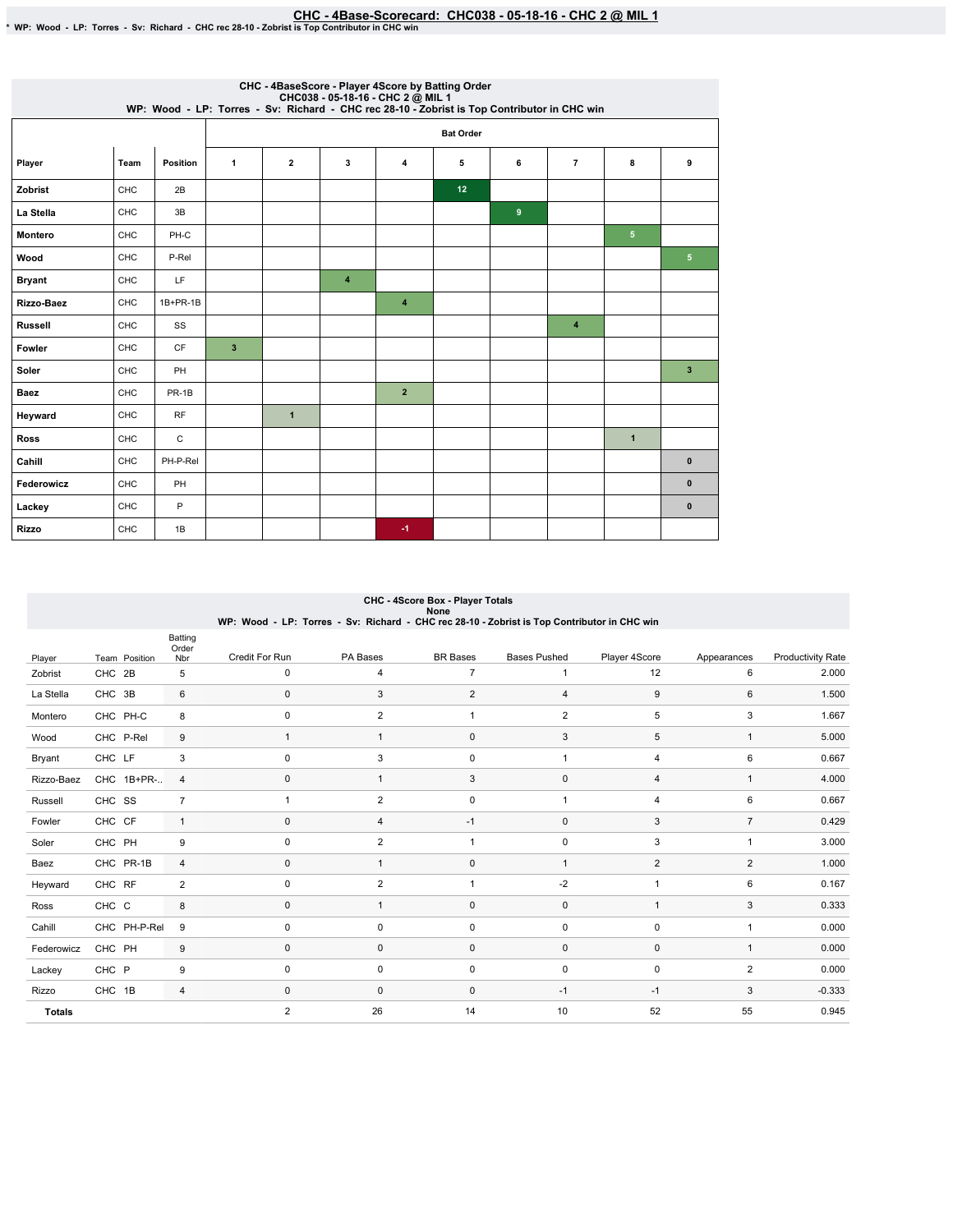# EHC - 4Base-Scorecard: CHC038 - 05-18-16 - CHC 2 @ MIL 1 هو CHC - 4Base-Scorecard: CHC038 - 05-18-16 - CHC 2 هو MP: Wood - LP: Torres - Sv: Richard - CHC rec 28-10 - Zobrist is Top Contributor in CHC win

|                | CHC - 4BaseScore - Player 4Score by Batting Order<br>CHC038 - 05-18-16 - CHC 2 @ MIL 1<br>WP: Wood - LP: Torres - Sv: Richard - CHC rec 28-10 - Zobrist is Top Contributor in CHC win |            |                         |                |                     |                      |    |                |                |                |                 |  |  |  |
|----------------|---------------------------------------------------------------------------------------------------------------------------------------------------------------------------------------|------------|-------------------------|----------------|---------------------|----------------------|----|----------------|----------------|----------------|-----------------|--|--|--|
|                |                                                                                                                                                                                       |            | <b>Bat Order</b>        |                |                     |                      |    |                |                |                |                 |  |  |  |
| Player         | Team                                                                                                                                                                                  | Position   | 1                       | $\overline{2}$ | 3                   | 4                    | 5  | 6              | $\overline{7}$ | 8              | 9               |  |  |  |
| Zobrist        | CHC                                                                                                                                                                                   | 2B         |                         |                |                     |                      | 12 |                |                |                |                 |  |  |  |
| La Stella      | <b>CHC</b>                                                                                                                                                                            | 3B         |                         |                |                     |                      |    | $\overline{9}$ |                |                |                 |  |  |  |
| <b>Montero</b> | CHC                                                                                                                                                                                   | PH-C       |                         |                |                     |                      |    |                |                | 5 <sub>5</sub> |                 |  |  |  |
| Wood           | CHC                                                                                                                                                                                   | P-Rel      |                         |                |                     |                      |    |                |                |                | $5\phantom{.0}$ |  |  |  |
| <b>Bryant</b>  | CHC                                                                                                                                                                                   | LF.        |                         |                | $\overline{\bf{4}}$ |                      |    |                |                |                |                 |  |  |  |
| Rizzo-Baez     | CHC                                                                                                                                                                                   | $1B+PR-1B$ |                         |                |                     | $\blacktriangleleft$ |    |                |                |                |                 |  |  |  |
| <b>Russell</b> | CHC                                                                                                                                                                                   | SS         |                         |                |                     |                      |    |                | $\overline{4}$ |                |                 |  |  |  |
| Fowler         | CHC                                                                                                                                                                                   | CF         | $\overline{\mathbf{3}}$ |                |                     |                      |    |                |                |                |                 |  |  |  |
| Soler          | CHC                                                                                                                                                                                   | PH         |                         |                |                     |                      |    |                |                |                | $\mathbf{3}$    |  |  |  |
| <b>Baez</b>    | CHC                                                                                                                                                                                   | PR-1B      |                         |                |                     | $\overline{2}$       |    |                |                |                |                 |  |  |  |
| Heyward        | CHC                                                                                                                                                                                   | <b>RF</b>  |                         | $\overline{1}$ |                     |                      |    |                |                |                |                 |  |  |  |
| <b>Ross</b>    | <b>CHC</b>                                                                                                                                                                            | C          |                         |                |                     |                      |    |                |                | $\mathbf{1}$   |                 |  |  |  |
| Cahill         | CHC                                                                                                                                                                                   | PH-P-Rel   |                         |                |                     |                      |    |                |                |                | $\pmb{0}$       |  |  |  |
| Federowicz     | CHC                                                                                                                                                                                   | PH         |                         |                |                     |                      |    |                |                |                | $\mathbf{0}$    |  |  |  |
| Lackey         | CHC                                                                                                                                                                                   | P          |                         |                |                     |                      |    |                |                |                | $\pmb{0}$       |  |  |  |
| <b>Rizzo</b>   | CHC                                                                                                                                                                                   | 1B         |                         |                |                     | $-1$                 |    |                |                |                |                 |  |  |  |

## CHC - 4Score Box - Player Totals None WP:Wood-LP:Torres-Sv:Richard-CHCrec28-10-ZobristisTopContributorinCHCwin

|               |               | Batting<br>Order |                     |                |                 |                     |                |                |                          |
|---------------|---------------|------------------|---------------------|----------------|-----------------|---------------------|----------------|----------------|--------------------------|
| Player        | Team Position | Nbr              | Credit For Run      | PA Bases       | <b>BR</b> Bases | <b>Bases Pushed</b> | Player 4Score  | Appearances    | <b>Productivity Rate</b> |
| Zobrist       | CHC 2B        | 5                | 0                   | 4              | $\overline{7}$  | 1                   | 12             | 6              | 2.000                    |
| La Stella     | CHC 3B        | 6                | $\mathbf 0$         | 3              | $\overline{2}$  | $\overline{4}$      | $9\,$          | 6              | 1.500                    |
| Montero       | CHC PH-C      | 8                | 0                   | $\overline{2}$ | $\mathbf{1}$    | $\overline{2}$      | 5              | 3              | 1.667                    |
| Wood          | CHC P-Rel     | 9                | $\mathbf{1}$        | $\mathbf{1}$   | $\pmb{0}$       | 3                   | 5              | $\overline{1}$ | 5.000                    |
| Bryant        | CHC LF        | 3                | $\mathbf 0$         | 3              | 0               | $\mathbf{1}$        | $\overline{4}$ | 6              | 0.667                    |
| Rizzo-Baez    | CHC 1B+PR-    | $\overline{4}$   | $\mathsf 0$         | 1              | 3               | $\pmb{0}$           | $\overline{4}$ | $\mathbf{1}$   | 4.000                    |
| Russell       | CHC SS        | $\overline{7}$   | $\mathbf{1}$        | $\overline{2}$ | 0               | $\mathbf{1}$        | $\overline{4}$ | 6              | 0.667                    |
| Fowler        | CHC CF        | $\mathbf{1}$     | $\mathbf{0}$        | 4              | $-1$            | $\mathbf 0$         | 3              | $\overline{7}$ | 0.429                    |
| Soler         | CHC PH        | 9                | 0                   | $\overline{2}$ | $\mathbf{1}$    | $\mathbf 0$         | 3              | 1              | 3.000                    |
| Baez          | CHC PR-1B     | 4                | $\mathbf 0$         | $\mathbf{1}$   | 0               | $\mathbf{1}$        | $\overline{2}$ | $\overline{2}$ | 1.000                    |
| Heyward       | CHC RF        | $\overline{2}$   | $\mathbf 0$         | $\overline{2}$ | $\mathbf{1}$    | $-2$                | $\overline{1}$ | 6              | 0.167                    |
| Ross          | CHC C         | 8                | $\mathsf 0$         | $\mathbf{1}$   | 0               | $\pmb{0}$           | $\overline{1}$ | 3              | 0.333                    |
| Cahill        | CHC PH-P-Rel  | 9                | $\mathbf 0$         | 0              | 0               | $\pmb{0}$           | $\mathbf 0$    |                | 0.000                    |
| Federowicz    | CHC PH        | 9                | $\mathsf 0$         | 0              | 0               | $\pmb{0}$           | $\pmb{0}$      | $\overline{1}$ | 0.000                    |
| Lackey        | CHC P         | 9                | $\mathbf 0$         | 0              | 0               | $\pmb{0}$           | $\mathbf 0$    | $\overline{2}$ | 0.000                    |
| Rizzo         | CHC 1B        | 4                | $\mathsf{O}\xspace$ | $\mathbf 0$    | 0               | $-1$                | $-1$           | 3              | $-0.333$                 |
| <b>Totals</b> |               |                  | $\overline{2}$      | 26             | 14              | 10                  | 52             | 55             | 0.945                    |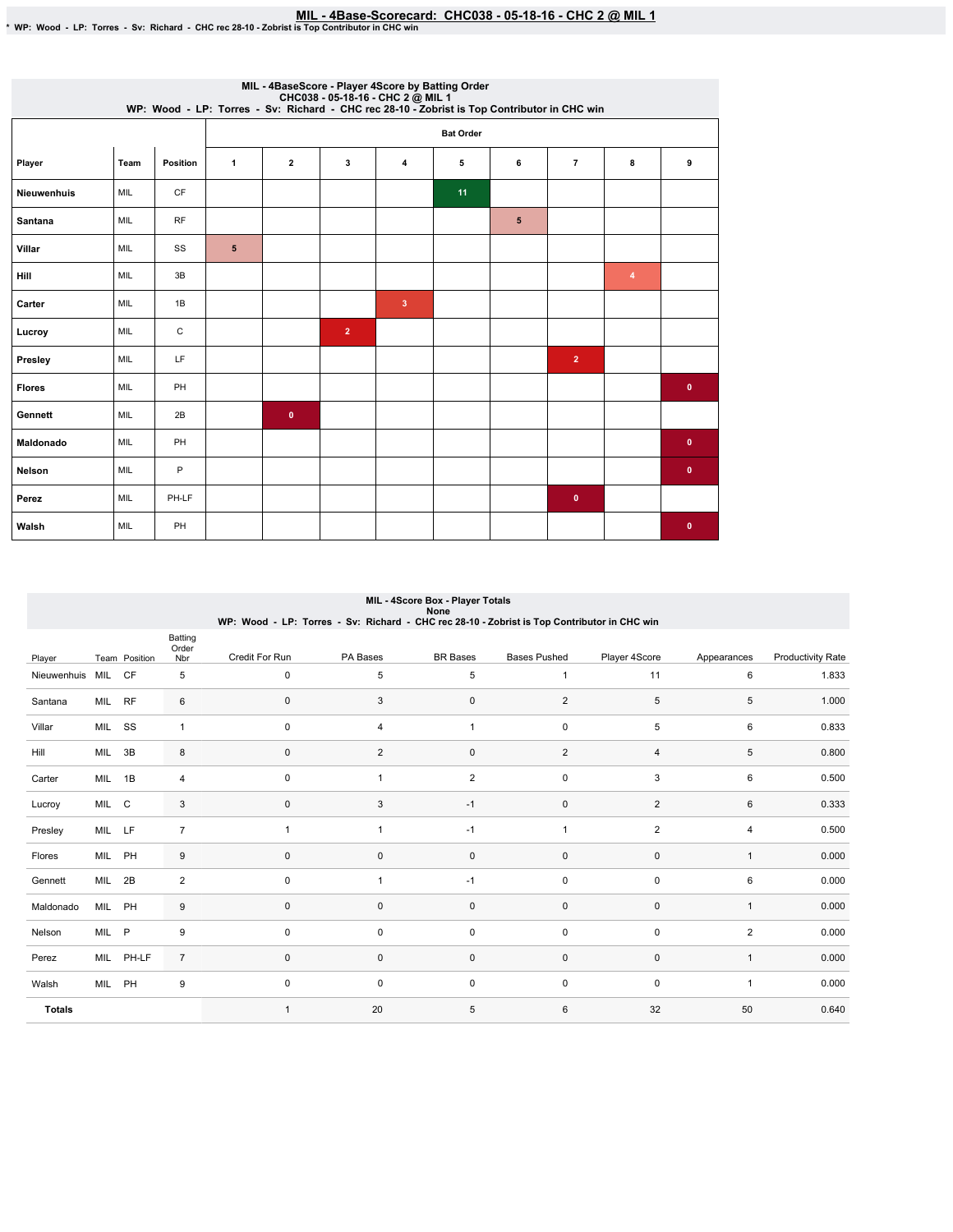# MIL - 4Base-Scorecard: CHC038 - 05-18-16 - CHC 2 @ MIL 1<br>\* WP: Wood - LP: Torres - Sv: Richard - CHC rec 28-10 - Zobrist is Top Contributor in CHC win

|               | MIL - 4BaseScore - Player 4Score by Batting Order<br>WP: Wood - LP: Torres - Sv: Richard - CHC038 - 05-18-16 - CHC 2 @ MIL 1 |           |                |                |                |                     |                  |   |                |   |              |  |  |  |
|---------------|------------------------------------------------------------------------------------------------------------------------------|-----------|----------------|----------------|----------------|---------------------|------------------|---|----------------|---|--------------|--|--|--|
|               |                                                                                                                              |           |                |                |                |                     | <b>Bat Order</b> |   |                |   |              |  |  |  |
| Player        | Team                                                                                                                         | Position  | $\mathbf{1}$   | $\overline{2}$ | 3              | $\overline{\bf{4}}$ | 5                | 6 | $\overline{7}$ | 8 | 9            |  |  |  |
| Nieuwenhuis   | MIL                                                                                                                          | CF        |                |                |                |                     | 11               |   |                |   |              |  |  |  |
| Santana       | <b>MIL</b>                                                                                                                   | <b>RF</b> |                |                |                |                     |                  | 5 |                |   |              |  |  |  |
| Villar        | <b>MIL</b>                                                                                                                   | SS        | $5\phantom{1}$ |                |                |                     |                  |   |                |   |              |  |  |  |
| Hill          | MIL                                                                                                                          | 3B        |                |                |                |                     |                  |   |                | 4 |              |  |  |  |
| Carter        | MIL                                                                                                                          | 1B        |                |                |                | 3                   |                  |   |                |   |              |  |  |  |
| Lucroy        | MIL                                                                                                                          | C         |                |                | $\overline{2}$ |                     |                  |   |                |   |              |  |  |  |
| Presley       | MIL                                                                                                                          | LF        |                |                |                |                     |                  |   | $\overline{2}$ |   |              |  |  |  |
| <b>Flores</b> | MIL                                                                                                                          | PH        |                |                |                |                     |                  |   |                |   | $\bullet$    |  |  |  |
| Gennett       | MIL                                                                                                                          | 2B        |                | $\bullet$      |                |                     |                  |   |                |   |              |  |  |  |
| Maldonado     | MIL                                                                                                                          | PH        |                |                |                |                     |                  |   |                |   | $\mathbf{0}$ |  |  |  |
| <b>Nelson</b> | MIL                                                                                                                          | $\sf P$   |                |                |                |                     |                  |   |                |   | $\bullet$    |  |  |  |
| Perez         | MIL                                                                                                                          | PH-LF     |                |                |                |                     |                  |   | $\mathbf 0$    |   |              |  |  |  |
| Walsh         | MIL                                                                                                                          | PH        |                |                |                |                     |                  |   |                |   | $\bf{0}$     |  |  |  |

|               | MIL - 4Score Box - Player Totals<br>None |               |                         |                                                                                             |                |                     |                         |                |                |                          |  |  |  |
|---------------|------------------------------------------|---------------|-------------------------|---------------------------------------------------------------------------------------------|----------------|---------------------|-------------------------|----------------|----------------|--------------------------|--|--|--|
|               |                                          |               |                         | WP: Wood - LP: Torres - Sv: Richard - CHC rec 28-10 - Zobrist is Top Contributor in CHC win |                |                     |                         |                |                |                          |  |  |  |
| Player        |                                          | Team Position | Batting<br>Order<br>Nbr | Credit For Run                                                                              | PA Bases       | <b>BR</b> Bases     | <b>Bases Pushed</b>     | Player 4Score  | Appearances    | <b>Productivity Rate</b> |  |  |  |
| Nieuwenhuis   | MIL CF                                   |               | 5                       | $\mathbf 0$                                                                                 | 5              | 5                   | 1                       | 11             | 6              | 1.833                    |  |  |  |
| Santana       | MIL                                      | <b>RF</b>     | 6                       | $\mathbf 0$                                                                                 | 3              | 0                   | $\overline{2}$          | 5              | 5              | 1.000                    |  |  |  |
| Villar        | MIL SS                                   |               | $\mathbf{1}$            | $\mathbf 0$                                                                                 | 4              | $\mathbf{1}$        | 0                       | 5              | 6              | 0.833                    |  |  |  |
| Hill          | MIL 3B                                   |               | 8                       | $\mathbf 0$                                                                                 | $\overline{c}$ | 0                   | $\overline{\mathbf{c}}$ | $\overline{4}$ | 5              | 0.800                    |  |  |  |
| Carter        | MIL 1B                                   |               | 4                       | $\mathsf 0$                                                                                 | $\mathbf{1}$   | 2                   | $\pmb{0}$               | 3              | 6              | 0.500                    |  |  |  |
| Lucroy        | MIL C                                    |               | 3                       | $\mathbf 0$                                                                                 | 3              | $-1$                | 0                       | 2              | 6              | 0.333                    |  |  |  |
| Presley       | MIL LF                                   |               | $\overline{7}$          | $\overline{1}$                                                                              | $\mathbf{1}$   | $-1$                | 1                       | $\overline{2}$ | 4              | 0.500                    |  |  |  |
| Flores        | MIL PH                                   |               | 9                       | $\mathbf 0$                                                                                 | 0              | $\mathsf{O}\xspace$ | 0                       | $\mathbf 0$    | $\mathbf{1}$   | 0.000                    |  |  |  |
| Gennett       | MIL 2B                                   |               | $\overline{2}$          | $\mathsf 0$                                                                                 | $\mathbf{1}$   | $-1$                | $\pmb{0}$               | $\pmb{0}$      | 6              | 0.000                    |  |  |  |
| Maldonado     | MIL PH                                   |               | 9                       | $\mathbf{0}$                                                                                | 0              | 0                   | 0                       | $\mathbf 0$    | $\mathbf{1}$   | 0.000                    |  |  |  |
| Nelson        | MIL P                                    |               | 9                       | $\mathbf 0$                                                                                 | 0              | $\mathbf 0$         | $\pmb{0}$               | $\mathbf 0$    | $\overline{2}$ | 0.000                    |  |  |  |
| Perez         |                                          | MIL PH-LF     | $\overline{7}$          | $\mathbf 0$                                                                                 | 0              | 0                   | 0                       | $\mathbf 0$    | $\mathbf{1}$   | 0.000                    |  |  |  |
| Walsh         | MIL                                      | PH            | 9                       | $\mathsf 0$                                                                                 | 0              | $\mathbf 0$         | 0                       | $\pmb{0}$      | $\mathbf{1}$   | 0.000                    |  |  |  |
| <b>Totals</b> |                                          |               |                         | $\overline{1}$                                                                              | 20             | 5                   | 6                       | 32             | 50             | 0.640                    |  |  |  |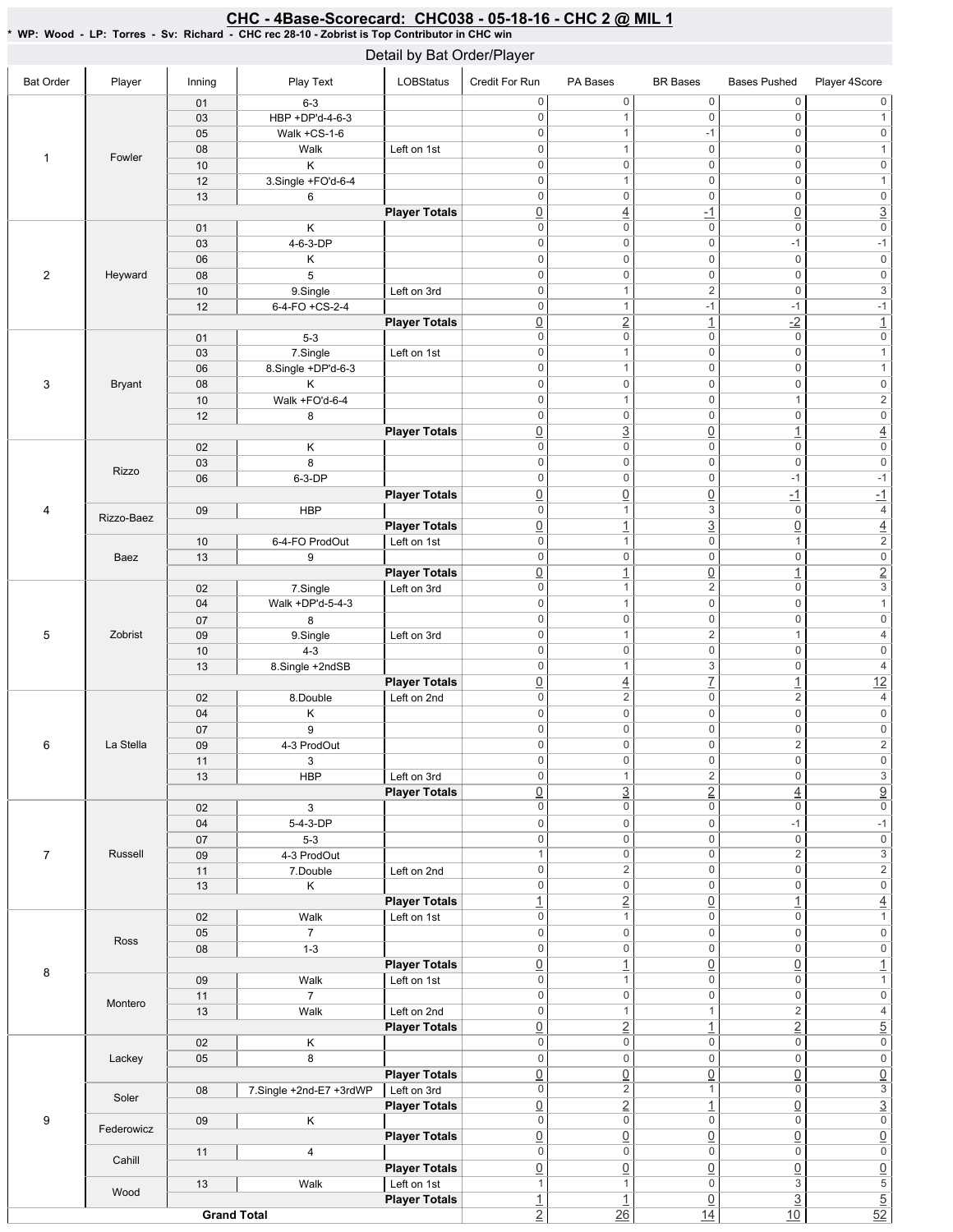#### Bat Order | Player | Inning | PlayText | LOBStatus Credit For Run PA Bases BR Bases Bases Pushed Player 4Score 1 Fowler 01 6-3 03 HBP +DP'd-4-6-3 05 | Walk + CS-1-6 08 Walk Left on 1st 10 K 12 3.Single +FO'd-6-4 13 6 **Player Totals** 2 Heyward 01 K 03 4-6-3-DP 06 K 08 5 10 9.Single Left on 3rd 12 6-4-FO+CS-2-4 **Player Totals** 3 Bryant 01 5-3 03 7.Single Left on 1st 06 8.Single+DP'd-6-3 08 K 10 Walk+FO'd-6-4 12 8 **Player Totals** 4 Rizzo 02 K 03 8 06 6-3-DP **Player Totals** Rizzo-Baez 09 **HBP Player Totals** Baez 10 6-4-FO ProdOut Left on 1st 13 9 **Player Totals** 5 Zobrist 02 7.Single Left on 3rd 04 Walk +DP'd-5-4-3 07 8 09 9.Single Left on 3rd 10 4-3 13 8.Single +2ndSB **Player Totals** 6 LaStella 02 8.Double Left on 2nd 04 K 07 9 09 4-3 ProdOut 11 3 13 HBP Left on 3rd **Player Totals** 7 Russell 02 3 04 5-4-3-DP 07 5-3 09 4-3 ProdOut 11 7.Double Left on 2nd 13 K **Player Totals** 8 Ross 02 | Walk Left on 1st 05 7 08 1-3 **Player Totals** Montero 09 | Walk Left on 1st 11 7 13 Walk Left on 2nd **Player Totals** 9 Lackey 02 K 05 8 **Player Totals** Soler 08 7.Single +2nd-E7 +3rdWP | Left on 3rd **Player Totals** Federowicz 09 K **Player Totals** Cahill 11 4 **Player Totals** Wood 13 | Walk Left on 1st **Player Totals Grand Total** 0 0 0 0 0 0 0 0 1 0 1 0 1 -1 0 0 0 0 1 0 1 0 0 0 0 0 0 0 0 1 0 1 0 0 0 0 0 0 0 4 -1 0 3 0 0 0 0 0 0 0 0 -1 -1 0 0 0 0 0 0 0 0 0 0 0 0 0 1 2 0 3 0  $1$  -1 -1 -1 -1  $\boxed{0}$   $\boxed{2}$   $\boxed{1}$   $\boxed{2}$   $\boxed{1}$ 0 0 0 0 0 0 0 0 0 1 0 0 1 0 1 0 0 0 0 0 0 0 1 0 1 2 0 0 0 0 0 0 0 3 0 1 4 0 0 0 0 0 0 0 0 0 0 0 0 0 0 -1 -1 0 0 0 -1 -1 0 1 3 0 4 0 1 3 0 4 0 1 0 1 2 0 0 0 0 0 0  $\boxed{0}$  1  $\boxed{0}$  1 2 0 1 2 0 3 0 0 1 0 1 0 0 0 0 0 0 0 1 2 1 4 0 0 0 0 0 0 0 1 3 0 4 0 4 7 1 12  $0 \qquad \qquad 2 \qquad \qquad 0 \qquad \qquad 2 \qquad \qquad 4$ 0 0 0 0 0 0 0 0 0 0 0 0  $0 \qquad \qquad 0 \qquad \qquad 2 \qquad \qquad 2$ 0 0 0 0 0 0 0 1 2 0 3 0 3 2 4 9 0 0 0 0 0 0 0 0 -1 -1 0 0 0 0 0 0 1 0 0 2 3  $0 \qquad \qquad 2 \qquad \qquad 0 \qquad \qquad 0 \qquad \qquad 2$ 0 0 0 0 0 0 1 2 0 1 4 0 0 0 1 0 0 0 0 0 0 0 0 0 0 0 0  $\boxed{0}$  1  $\boxed{0}$   $\boxed{0}$  1 0 0 1 0 1 0 0 0 0 0 0 0 1 1 2 4  $\boxed{0}$  2  $\boxed{1}$  2  $\boxed{5}$ 0 0 0 0 0 0 0 0 0 0 0 0  $\overline{0}$   $\overline{0}$   $\overline{0}$   $\overline{0}$   $\overline{0}$   $\overline{0}$   $\overline{0}$ 0 2 1 0 3 0 2 1 0 3 0 0 0 0 0 0  $\overline{0}$   $\overline{0}$   $\overline{0}$   $\overline{0}$   $\overline{0}$   $\overline{0}$   $\overline{0}$ 0 0 0 0 0 0 0 0 0 0 0 1 1 0 3 5 1  $\begin{array}{ccc} 1 & 0 & 3 & 5 \end{array}$  $2$  26  $14$  10 52 Detail by Bat Order/Player

## CHC - 4Base-Scorecard: CHC038 - 05-18-16 - CHC 2 @ MIL 1

\*WP:Wood-LP:Torres-Sv:Richard-CHCrec28-10-ZobristisTopContributorinCHCwin